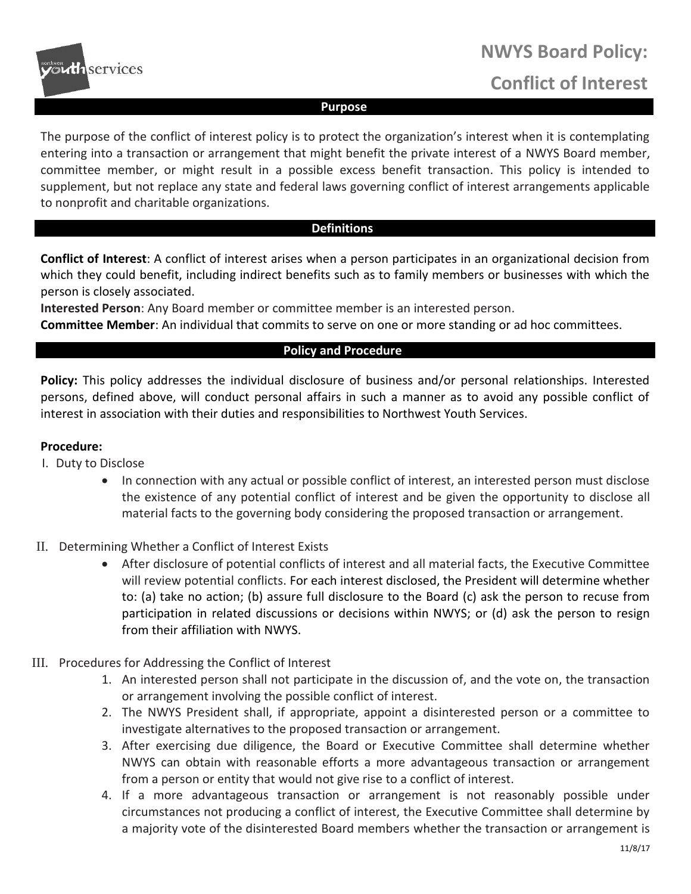

# **NWYS Board Policy: Conflict of Interest**

### **Purpose**

The purpose of the conflict of interest policy is to protect the organization's interest when it is contemplating entering into a transaction or arrangement that might benefit the private interest of a NWYS Board member, committee member, or might result in a possible excess benefit transaction. This policy is intended to supplement, but not replace any state and federal laws governing conflict of interest arrangements applicable to nonprofit and charitable organizations.

# **Definitions**

**Conflict of Interest**: A conflict of interest arises when a person participates in an organizational decision from which they could benefit, including indirect benefits such as to family members or businesses with which the person is closely associated.

**Interested Person**: Any Board member or committee member is an interested person.

**Committee Member**: An individual that commits to serve on one or more standing or ad hoc committees.

## **Policy and Procedure**

**Policy:** This policy addresses the individual disclosure of business and/or personal relationships. Interested persons, defined above, will conduct personal affairs in such a manner as to avoid any possible conflict of interest in association with their duties and responsibilities to Northwest Youth Services.

#### **Procedure:**

- I. Duty to Disclose
	- In connection with any actual or possible conflict of interest, an interested person must disclose the existence of any potential conflict of interest and be given the opportunity to disclose all material facts to the governing body considering the proposed transaction or arrangement.
- II. Determining Whether a Conflict of Interest Exists
	- After disclosure of potential conflicts of interest and all material facts, the Executive Committee will review potential conflicts. For each interest disclosed, the President will determine whether to: (a) take no action; (b) assure full disclosure to the Board (c) ask the person to recuse from participation in related discussions or decisions within NWYS; or (d) ask the person to resign from their affiliation with NWYS.
- III. Procedures for Addressing the Conflict of Interest
	- 1. An interested person shall not participate in the discussion of, and the vote on, the transaction or arrangement involving the possible conflict of interest.
	- 2. The NWYS President shall, if appropriate, appoint a disinterested person or a committee to investigate alternatives to the proposed transaction or arrangement.
	- 3. After exercising due diligence, the Board or Executive Committee shall determine whether NWYS can obtain with reasonable efforts a more advantageous transaction or arrangement from a person or entity that would not give rise to a conflict of interest.
	- 4. If a more advantageous transaction or arrangement is not reasonably possible under circumstances not producing a conflict of interest, the Executive Committee shall determine by a majority vote of the disinterested Board members whether the transaction or arrangement is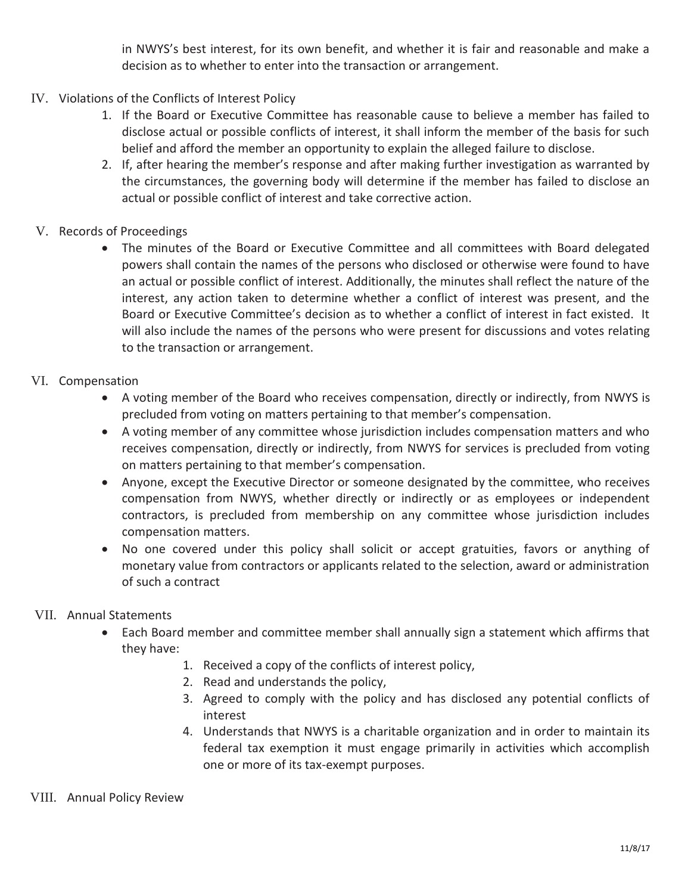in NWYS's best interest, for its own benefit, and whether it is fair and reasonable and make a decision as to whether to enter into the transaction or arrangement.

- IV. Violations of the Conflicts of Interest Policy
	- 1. If the Board or Executive Committee has reasonable cause to believe a member has failed to disclose actual or possible conflicts of interest, it shall inform the member of the basis for such belief and afford the member an opportunity to explain the alleged failure to disclose.
	- 2. If, after hearing the member's response and after making further investigation as warranted by the circumstances, the governing body will determine if the member has failed to disclose an actual or possible conflict of interest and take corrective action.
- V. Records of Proceedings
	- The minutes of the Board or Executive Committee and all committees with Board delegated powers shall contain the names of the persons who disclosed or otherwise were found to have an actual or possible conflict of interest. Additionally, the minutes shall reflect the nature of the interest, any action taken to determine whether a conflict of interest was present, and the Board or Executive Committee's decision as to whether a conflict of interest in fact existed. It will also include the names of the persons who were present for discussions and votes relating to the transaction or arrangement.
- VI. Compensation
	- A voting member of the Board who receives compensation, directly or indirectly, from NWYS is precluded from voting on matters pertaining to that member's compensation.
	- A voting member of any committee whose jurisdiction includes compensation matters and who receives compensation, directly or indirectly, from NWYS for services is precluded from voting on matters pertaining to that member's compensation.
	- Anyone, except the Executive Director or someone designated by the committee, who receives compensation from NWYS, whether directly or indirectly or as employees or independent contractors, is precluded from membership on any committee whose jurisdiction includes compensation matters.
	- No one covered under this policy shall solicit or accept gratuities, favors or anything of monetary value from contractors or applicants related to the selection, award or administration of such a contract

# VII. Annual Statements

- Each Board member and committee member shall annually sign a statement which affirms that they have:
	- 1. Received a copy of the conflicts of interest policy,
	- 2. Read and understands the policy,
	- 3. Agreed to comply with the policy and has disclosed any potential conflicts of interest
	- 4. Understands that NWYS is a charitable organization and in order to maintain its federal tax exemption it must engage primarily in activities which accomplish one or more of its tax-exempt purposes.

# VIII. Annual Policy Review